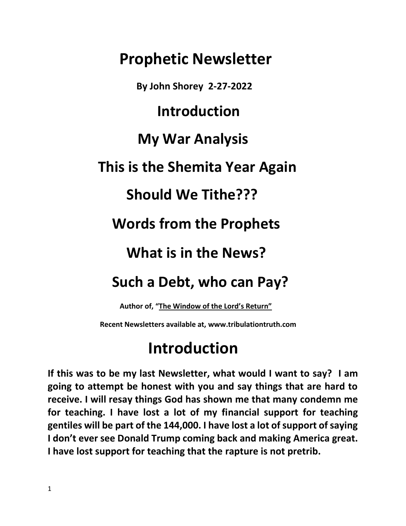# **Prophetic Newsletter**

 **By John Shorey 2-27-2022**

 **Introduction** 

 **My War Analysis**

 **This is the Shemita Year Again**

 **Should We Tithe???**

 **Words from the Prophets** 

 **What is in the News?** 

## **Such a Debt, who can Pay?**

 **Author of, "The Window of the Lord's Return"** 

 **Recent Newsletters available at, [www.tribulationtruth.com](http://www.tribulationtruth.com/)** 

## **Introduction**

**If this was to be my last Newsletter, what would I want to say? I am going to attempt be honest with you and say things that are hard to receive. I will resay things God has shown me that many condemn me for teaching. I have lost a lot of my financial support for teaching gentiles will be part of the 144,000. I have lost a lot of support of saying I don't ever see Donald Trump coming back and making America great. I have lost support for teaching that the rapture is not pretrib.**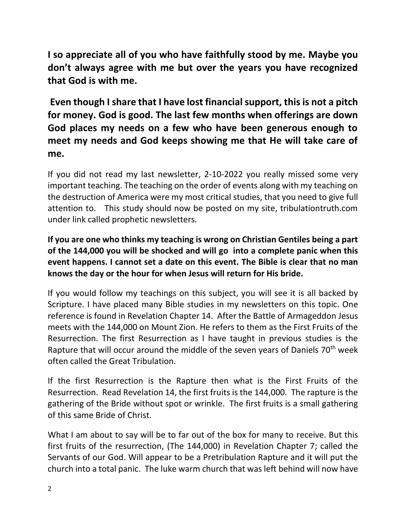**I so appreciate all of you who have faithfully stood by me. Maybe you don't always agree with me but over the years you have recognized that God is with me.** 

**Even though I share that I have lost financial support, this is not a pitch for money. God is good. The last few months when offerings are down God places my needs on a few who have been generous enough to meet my needs and God keeps showing me that He will take care of me.**

If you did not read my last newsletter, 2-10-2022 you really missed some very important teaching. The teaching on the order of events along with my teaching on the destruction of America were my most critical studies, that you need to give full attention to. This study should now be posted on my site, tribulationtruth.com under link called prophetic newsletters.

#### **If you are one who thinks my teaching is wrong on Christian Gentiles being a part of the 144,000 you will be shocked and will go into a complete panic when this event happens. I cannot set a date on this event. The Bible is clear that no man knows the day or the hour for when Jesus will return for His bride.**

If you would follow my teachings on this subject, you will see it is all backed by Scripture. I have placed many Bible studies in my newsletters on this topic. One reference is found in Revelation Chapter 14. After the Battle of Armageddon Jesus meets with the 144,000 on Mount Zion. He refers to them as the First Fruits of the Resurrection. The first Resurrection as I have taught in previous studies is the Rapture that will occur around the middle of the seven years of Daniels  $70<sup>th</sup>$  week often called the Great Tribulation.

If the first Resurrection is the Rapture then what is the First Fruits of the Resurrection. Read Revelation 14, the first fruits is the 144,000. The rapture is the gathering of the Bride without spot or wrinkle. The first fruits is a small gathering of this same Bride of Christ.

What I am about to say will be to far out of the box for many to receive. But this first fruits of the resurrection, (The 144,000) in Revelation Chapter 7; called the Servants of our God. Will appear to be a Pretribulation Rapture and it will put the church into a total panic. The luke warm church that was left behind will now have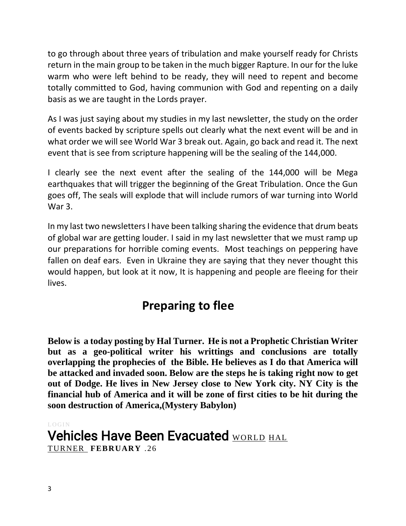to go through about three years of tribulation and make yourself ready for Christs return in the main group to be taken in the much bigger Rapture. In our for the luke warm who were left behind to be ready, they will need to repent and become totally committed to God, having communion with God and repenting on a daily basis as we are taught in the Lords prayer.

As I was just saying about my studies in my last newsletter, the study on the order of events backed by scripture spells out clearly what the next event will be and in what order we will see World War 3 break out. Again, go back and read it. The next event that is see from scripture happening will be the sealing of the 144,000.

I clearly see the next event after the sealing of the 144,000 will be Mega earthquakes that will trigger the beginning of the Great Tribulation. Once the Gun goes off, The seals will explode that will include rumors of war turning into World War 3.

In my last two newsletters I have been talking sharing the evidence that drum beats of global war are getting louder. I said in my last newsletter that we must ramp up our preparations for horrible coming events. Most teachings on peppering have fallen on deaf ears. Even in Ukraine they are saying that they never thought this would happen, but look at it now, It is happening and people are fleeing for their lives.

## **Preparing to flee**

**Below is a today posting by Hal Turner. He is not a Prophetic Christian Writer but as a geo-political writer his writtings and conclusions are totally overlapping the prophecies of the Bible. He believes as I do that America will be attacked and invaded soon. Below are the steps he is taking right now to get out of Dodge. He lives in New Jersey close to New York city. NY City is the financial hub of America and it will be zone of first cities to be hit during the soon destruction of America,(Mystery Babylon)**

**LOGIN** 

# Vehicles Have Been Evacuated [WORLD](https://halturnerradioshow.com/index.php/en/news-page/world) [HAL](https://halturnerradioshow.com/index.php/en/authors/author/HalTurner)

[TURNER](https://halturnerradioshow.com/index.php/en/authors/author/HalTurner) **FEBRUARY** .26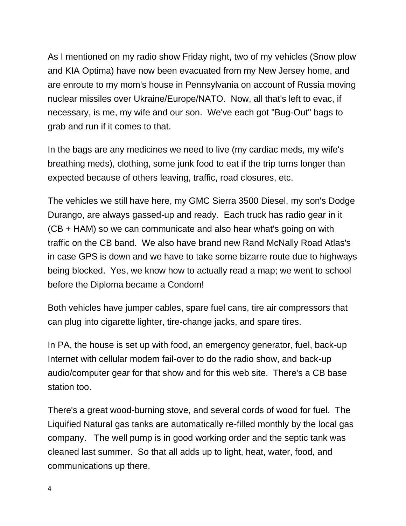As I mentioned on my radio show Friday night, two of my vehicles (Snow plow and KIA Optima) have now been evacuated from my New Jersey home, and are enroute to my mom's house in Pennsylvania on account of Russia moving nuclear missiles over Ukraine/Europe/NATO. Now, all that's left to evac, if necessary, is me, my wife and our son. We've each got "Bug-Out" bags to grab and run if it comes to that.

In the bags are any medicines we need to live (my cardiac meds, my wife's breathing meds), clothing, some junk food to eat if the trip turns longer than expected because of others leaving, traffic, road closures, etc.

The vehicles we still have here, my GMC Sierra 3500 Diesel, my son's Dodge Durango, are always gassed-up and ready. Each truck has radio gear in it (CB + HAM) so we can communicate and also hear what's going on with traffic on the CB band. We also have brand new Rand McNally Road Atlas's in case GPS is down and we have to take some bizarre route due to highways being blocked. Yes, we know how to actually read a map; we went to school before the Diploma became a Condom!

Both vehicles have jumper cables, spare fuel cans, tire air compressors that can plug into cigarette lighter, tire-change jacks, and spare tires.

In PA, the house is set up with food, an emergency generator, fuel, back-up Internet with cellular modem fail-over to do the radio show, and back-up audio/computer gear for that show and for this web site. There's a CB base station too.

There's a great wood-burning stove, and several cords of wood for fuel. The Liquified Natural gas tanks are automatically re-filled monthly by the local gas company. The well pump is in good working order and the septic tank was cleaned last summer. So that all adds up to light, heat, water, food, and communications up there.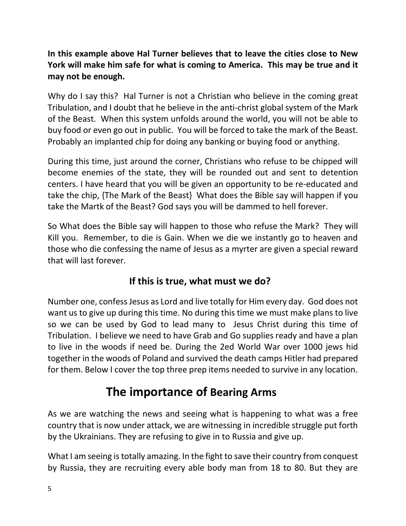#### **In this example above Hal Turner believes that to leave the cities close to New York will make him safe for what is coming to America. This may be true and it may not be enough.**

Why do I say this? Hal Turner is not a Christian who believe in the coming great Tribulation, and I doubt that he believe in the anti-christ global system of the Mark of the Beast. When this system unfolds around the world, you will not be able to buy food or even go out in public. You will be forced to take the mark of the Beast. Probably an implanted chip for doing any banking or buying food or anything.

During this time, just around the corner, Christians who refuse to be chipped will become enemies of the state, they will be rounded out and sent to detention centers. I have heard that you will be given an opportunity to be re-educated and take the chip, {The Mark of the Beast} What does the Bible say will happen if you take the Martk of the Beast? God says you will be dammed to hell forever.

So What does the Bible say will happen to those who refuse the Mark? They will Kill you. Remember, to die is Gain. When we die we instantly go to heaven and those who die confessing the name of Jesus as a myrter are given a special reward that will last forever.

#### **If this is true, what must we do?**

Number one, confess Jesus as Lord and live totally for Him every day. God does not want us to give up during this time. No during this time we must make plans to live so we can be used by God to lead many to Jesus Christ during this time of Tribulation. I believe we need to have Grab and Go supplies ready and have a plan to live in the woods if need be. During the 2ed World War over 1000 jews hid together in the woods of Poland and survived the death camps Hitler had prepared for them. Below I cover the top three prep items needed to survive in any location.

## **The importance of Bearing Arms**

As we are watching the news and seeing what is happening to what was a free country that is now under attack, we are witnessing in incredible struggle put forth by the Ukrainians. They are refusing to give in to Russia and give up.

What I am seeing is totally amazing. In the fight to save their country from conquest by Russia, they are recruiting every able body man from 18 to 80. But they are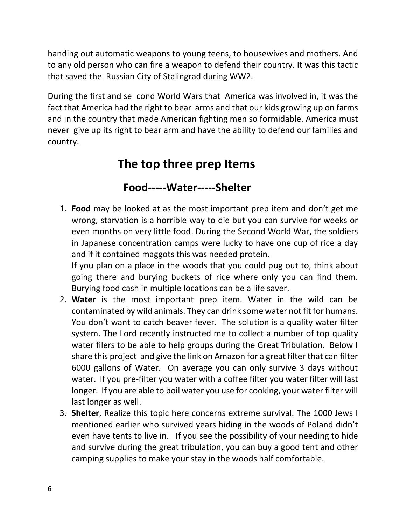handing out automatic weapons to young teens, to housewives and mothers. And to any old person who can fire a weapon to defend their country. It was this tactic that saved the Russian City of Stalingrad during WW2.

During the first and se cond World Wars that America was involved in, it was the fact that America had the right to bear arms and that our kids growing up on farms and in the country that made American fighting men so formidable. America must never give up its right to bear arm and have the ability to defend our families and country.

## **The top three prep Items**

#### **Food-----Water-----Shelter**

1. **Food** may be looked at as the most important prep item and don't get me wrong, starvation is a horrible way to die but you can survive for weeks or even months on very little food. During the Second World War, the soldiers in Japanese concentration camps were lucky to have one cup of rice a day and if it contained maggots this was needed protein.

If you plan on a place in the woods that you could pug out to, think about going there and burying buckets of rice where only you can find them. Burying food cash in multiple locations can be a life saver.

- 2. **Water** is the most important prep item. Water in the wild can be contaminated by wild animals. They can drink some water not fit for humans. You don't want to catch beaver fever. The solution is a quality water filter system. The Lord recently instructed me to collect a number of top quality water filers to be able to help groups during the Great Tribulation. Below I share this project and give the link on Amazon for a great filter that can filter 6000 gallons of Water. On average you can only survive 3 days without water. If you pre-filter you water with a coffee filter you water filter will last longer. If you are able to boil water you use for cooking, your water filter will last longer as well.
- 3. **Shelter**, Realize this topic here concerns extreme survival. The 1000 Jews I mentioned earlier who survived years hiding in the woods of Poland didn't even have tents to live in. If you see the possibility of your needing to hide and survive during the great tribulation, you can buy a good tent and other camping supplies to make your stay in the woods half comfortable.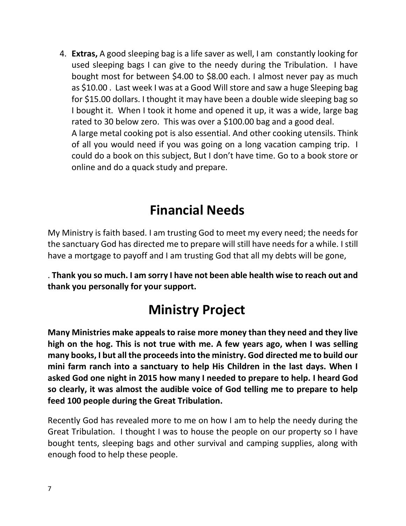4. **Extras,** A good sleeping bag is a life saver as well, I am constantly looking for used sleeping bags I can give to the needy during the Tribulation. I have bought most for between \$4.00 to \$8.00 each. I almost never pay as much as \$10.00 . Last week I was at a Good Will store and saw a huge Sleeping bag for \$15.00 dollars. I thought it may have been a double wide sleeping bag so I bought it. When I took it home and opened it up, it was a wide, large bag rated to 30 below zero. This was over a \$100.00 bag and a good deal. A large metal cooking pot is also essential. And other cooking utensils. Think of all you would need if you was going on a long vacation camping trip. I could do a book on this subject, But I don't have time. Go to a book store or online and do a quack study and prepare.

## **Financial Needs**

My Ministry is faith based. I am trusting God to meet my every need; the needs for the sanctuary God has directed me to prepare will still have needs for a while. I still have a mortgage to payoff and I am trusting God that all my debts will be gone,

. **Thank you so much. I am sorry I have not been able health wise to reach out and thank you personally for your support.**

## **Ministry Project**

**Many Ministries make appeals to raise more money than they need and they live high on the hog. This is not true with me. A few years ago, when I was selling many books, I but all the proceeds into the ministry. God directed me to build our mini farm ranch into a sanctuary to help His Children in the last days. When I asked God one night in 2015 how many I needed to prepare to help. I heard God so clearly, it was almost the audible voice of God telling me to prepare to help feed 100 people during the Great Tribulation.**

Recently God has revealed more to me on how I am to help the needy during the Great Tribulation. I thought I was to house the people on our property so I have bought tents, sleeping bags and other survival and camping supplies, along with enough food to help these people.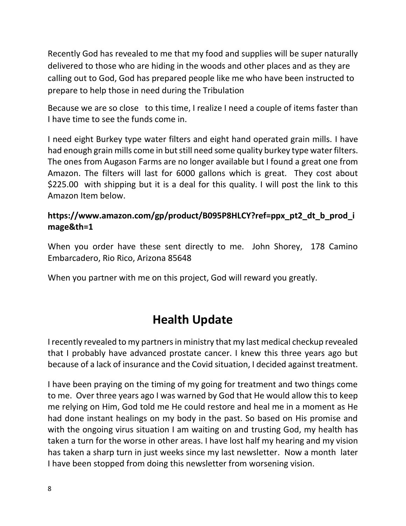Recently God has revealed to me that my food and supplies will be super naturally delivered to those who are hiding in the woods and other places and as they are calling out to God, God has prepared people like me who have been instructed to prepare to help those in need during the Tribulation

Because we are so close to this time, I realize I need a couple of items faster than I have time to see the funds come in.

I need eight Burkey type water filters and eight hand operated grain mills. I have had enough grain mills come in but still need some quality burkey type water filters. The ones from Augason Farms are no longer available but I found a great one from Amazon. The filters will last for 6000 gallons which is great. They cost about \$225.00 with shipping but it is a deal for this quality. I will post the link to this Amazon Item below.

#### **https://www.amazon.com/gp/product/B095P8HLCY?ref=ppx\_pt2\_dt\_b\_prod\_i mage&th=1**

When you order have these sent directly to me. John Shorey, 178 Camino Embarcadero, Rio Rico, Arizona 85648

When you partner with me on this project, God will reward you greatly.

## **Health Update**

I recently revealed to my partners in ministry that my last medical checkup revealed that I probably have advanced prostate cancer. I knew this three years ago but because of a lack of insurance and the Covid situation, I decided against treatment.

I have been praying on the timing of my going for treatment and two things come to me. Over three years ago I was warned by God that He would allow this to keep me relying on Him, God told me He could restore and heal me in a moment as He had done instant healings on my body in the past. So based on His promise and with the ongoing virus situation I am waiting on and trusting God, my health has taken a turn for the worse in other areas. I have lost half my hearing and my vision has taken a sharp turn in just weeks since my last newsletter. Now a month later I have been stopped from doing this newsletter from worsening vision.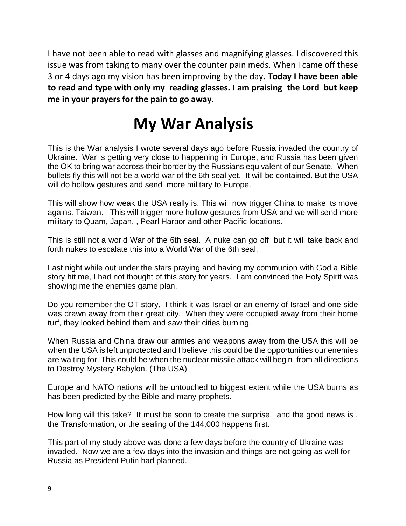I have not been able to read with glasses and magnifying glasses. I discovered this issue was from taking to many over the counter pain meds. When I came off these 3 or 4 days ago my vision has been improving by the day**. Today I have been able to read and type with only my reading glasses. I am praising the Lord but keep me in your prayers for the pain to go away.**

# **My War Analysis**

This is the War analysis I wrote several days ago before Russia invaded the country of Ukraine. War is getting very close to happening in Europe, and Russia has been given the OK to bring war accross their border by the Russians equivalent of our Senate. When bullets fly this will not be a world war of the 6th seal yet. It will be contained. But the USA will do hollow gestures and send more military to Europe.

This will show how weak the USA really is, This will now trigger China to make its move against Taiwan. This will trigger more hollow gestures from USA and we will send more military to Quam, Japan, , Pearl Harbor and other Pacific locations.

This is still not a world War of the 6th seal. A nuke can go off but it will take back and forth nukes to escalate this into a World War of the 6th seal.

Last night while out under the stars praying and having my communion with God a Bible story hit me, I had not thought of this story for years. I am convinced the Holy Spirit was showing me the enemies game plan.

Do you remember the OT story, I think it was Israel or an enemy of Israel and one side was drawn away from their great city. When they were occupied away from their home turf, they looked behind them and saw their cities burning,

When Russia and China draw our armies and weapons away from the USA this will be when the USA is left unprotected and I believe this could be the opportunities our enemies are waiting for. This could be when the nuclear missile attack will begin from all directions to Destroy Mystery Babylon. (The USA)

Europe and NATO nations will be untouched to biggest extent while the USA burns as has been predicted by the Bible and many prophets.

How long will this take? It must be soon to create the surprise. and the good news is , the Transformation, or the sealing of the 144,000 happens first.

This part of my study above was done a few days before the country of Ukraine was invaded. Now we are a few days into the invasion and things are not going as well for Russia as President Putin had planned.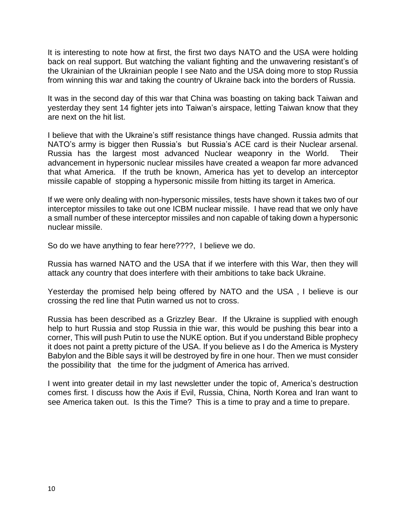It is interesting to note how at first, the first two days NATO and the USA were holding back on real support. But watching the valiant fighting and the unwavering resistant's of the Ukrainian of the Ukrainian people I see Nato and the USA doing more to stop Russia from winning this war and taking the country of Ukraine back into the borders of Russia.

It was in the second day of this war that China was boasting on taking back Taiwan and yesterday they sent 14 fighter jets into Taiwan's airspace, letting Taiwan know that they are next on the hit list.

I believe that with the Ukraine's stiff resistance things have changed. Russia admits that NATO's army is bigger then Russia's but Russia's ACE card is their Nuclear arsenal. Russia has the largest most advanced Nuclear weaponry in the World. Their advancement in hypersonic nuclear missiles have created a weapon far more advanced that what America. If the truth be known, America has yet to develop an interceptor missile capable of stopping a hypersonic missile from hitting its target in America.

If we were only dealing with non-hypersonic missiles, tests have shown it takes two of our interceptor missiles to take out one ICBM nuclear missile. I have read that we only have a small number of these interceptor missiles and non capable of taking down a hypersonic nuclear missile.

So do we have anything to fear here????, I believe we do.

Russia has warned NATO and the USA that if we interfere with this War, then they will attack any country that does interfere with their ambitions to take back Ukraine.

Yesterday the promised help being offered by NATO and the USA , I believe is our crossing the red line that Putin warned us not to cross.

Russia has been described as a Grizzley Bear. If the Ukraine is supplied with enough help to hurt Russia and stop Russia in thie war, this would be pushing this bear into a corner, This will push Putin to use the NUKE option. But if you understand Bible prophecy it does not paint a pretty picture of the USA. If you believe as I do the America is Mystery Babylon and the Bible says it will be destroyed by fire in one hour. Then we must consider the possibility that the time for the judgment of America has arrived.

I went into greater detail in my last newsletter under the topic of, America's destruction comes first. I discuss how the Axis if Evil, Russia, China, North Korea and Iran want to see America taken out. Is this the Time? This is a time to pray and a time to prepare.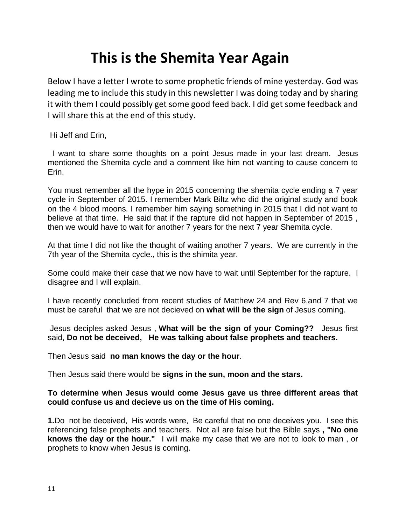# **This is the Shemita Year Again**

Below I have a letter I wrote to some prophetic friends of mine yesterday. God was leading me to include this study in this newsletter I was doing today and by sharing it with them I could possibly get some good feed back. I did get some feedback and I will share this at the end of this study.

Hi Jeff and Erin,

I want to share some thoughts on a point Jesus made in your last dream. Jesus mentioned the Shemita cycle and a comment like him not wanting to cause concern to Erin.

You must remember all the hype in 2015 concerning the shemita cycle ending a 7 year cycle in September of 2015. I remember Mark Biltz who did the original study and book on the 4 blood moons. I remember him saying something in 2015 that I did not want to believe at that time. He said that if the rapture did not happen in September of 2015 , then we would have to wait for another 7 years for the next 7 year Shemita cycle.

At that time I did not like the thought of waiting another 7 years. We are currently in the 7th year of the Shemita cycle., this is the shimita year.

Some could make their case that we now have to wait until September for the rapture. I disagree and I will explain.

I have recently concluded from recent studies of Matthew 24 and Rev 6,and 7 that we must be careful that we are not decieved on **what will be the sign** of Jesus coming.

Jesus deciples asked Jesus , **What will be the sign of your Coming??** Jesus first said, **Do not be deceived, He was talking about false prophets and teachers.**

Then Jesus said **no man knows the day or the hour**.

Then Jesus said there would be **signs in the sun, moon and the stars.**

#### **To determine when Jesus would come Jesus gave us three different areas that could confuse us and decieve us on the time of His coming.**

**1.**Do not be deceived, His words were, Be careful that no one deceives you. I see this referencing false prophets and teachers. Not all are false but the Bible says **, "No one knows the day or the hour."** I will make my case that we are not to look to man , or prophets to know when Jesus is coming.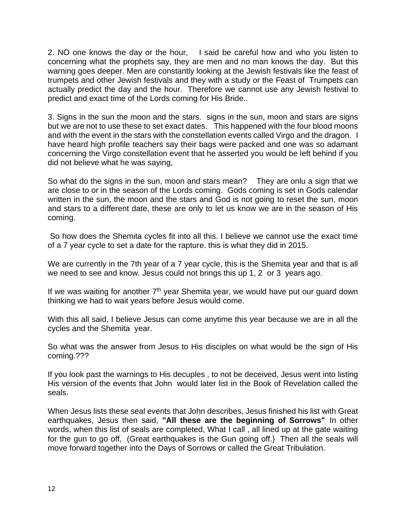2. NO one knows the day or the hour, I said be careful how and who you listen to concerning what the prophets say, they are men and no man knows the day. But this warning goes deeper. Men are constantly looking at the Jewish festivals like the feast of trumpets and other Jewish festivals and they with a study or the Feast of Trumpets can actually predict the day and the hour. Therefore we cannot use any Jewish festival to predict and exact time of the Lords coming for His Bride..

3. Signs in the sun the moon and the stars. signs in the sun, moon and stars are signs but we are not to use these to set exact dates. This happened with the four blood moons and with the event in the stars with the constellation events called Virgo and the dragon. I have heard high profile teachers say their bags were packed and one was so adamant concerning the Virgo constellation event that he asserted you would be left behind if you did not believe what he was saying,

So what do the signs in the sun, moon and stars mean? They are onlu a sign that we are close to or in the season of the Lords coming. Gods coming is set in Gods calendar written in the sun, the moon and the stars and God is not going to reset the sun, moon and stars to a different date, these are only to let us know we are in the season of His coming.

So how does the Shemita cycles fit into all this. I believe we cannot use the exact time of a 7 year cycle to set a date for the rapture. this is what they did in 2015.

We are currently in the 7th year of a 7 year cycle, this is the Shemita year and that is all we need to see and know. Jesus could not brings this up 1, 2 or 3 years ago.

If we was waiting for another  $7<sup>th</sup>$  year Shemita year, we would have put our guard down thinking we had to wait years before Jesus would come.

With this all said, I believe Jesus can come anytime this year because we are in all the cycles and the Shemita year.

So what was the answer from Jesus to His disciples on what would be the sign of His coming.???

If you look past the warnings to His decuples , to not be deceived, Jesus went into listing His version of the events that John would later list in the Book of Revelation called the seals.

When Jesus lists these seal events that John describes, Jesus finished his list with Great earthquakes, Jesus then said, **"All these are the beginning of Sorrows"** In other words, when this list of seals are completed, What I call , all lined up at the gate waiting for the gun to go off, (Great earthquakes is the Gun going off.} Then all the seals will move forward together into the Days of Sorrows or called the Great Tribulation.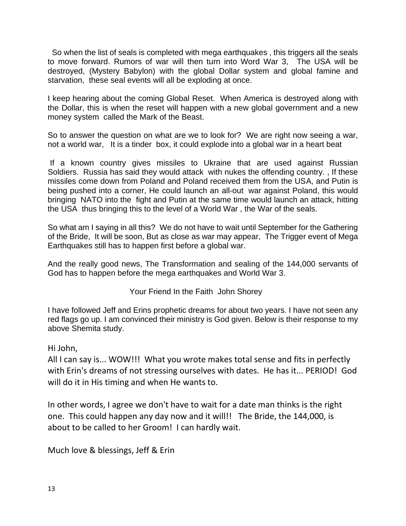So when the list of seals is completed with mega earthquakes , this triggers all the seals to move forward. Rumors of war will then turn into Word War 3, The USA will be destroyed, (Mystery Babylon) with the global Dollar system and global famine and starvation, these seal events will all be exploding at once.

I keep hearing about the coming Global Reset. When America is destroyed along with the Dollar, this is when the reset will happen with a new global government and a new money system called the Mark of the Beast.

So to answer the question on what are we to look for? We are right now seeing a war, not a world war, It is a tinder box, it could explode into a global war in a heart beat

If a known country gives missiles to Ukraine that are used against Russian Soldiers. Russia has said they would attack with nukes the offending country. , If these missiles come down from Poland and Poland received them from the USA, and Putin is being pushed into a corner, He could launch an all-out war against Poland, this would bringing NATO into the fight and Putin at the same time would launch an attack, hitting the USA thus bringing this to the level of a World War , the War of the seals.

So what am I saying in all this? We do not have to wait until September for the Gathering of the Bride, It will be soon, But as close as war may appear, The Trigger event of Mega Earthquakes still has to happen first before a global war.

And the really good news, The Transformation and sealing of the 144,000 servants of God has to happen before the mega earthquakes and World War 3.

Your Friend In the Faith John Shorey

I have followed Jeff and Erins prophetic dreams for about two years. I have not seen any red flags go up. I am convinced their ministry is God given. Below is their response to my above Shemita study.

#### Hi John,

All I can say is... WOW!!! What you wrote makes total sense and fits in perfectly with Erin's dreams of not stressing ourselves with dates. He has it... PERIOD! God will do it in His timing and when He wants to.

In other words, I agree we don't have to wait for a date man thinks is the right one. This could happen any day now and it will!! The Bride, the 144,000, is about to be called to her Groom! I can hardly wait.

Much love & blessings, Jeff & Erin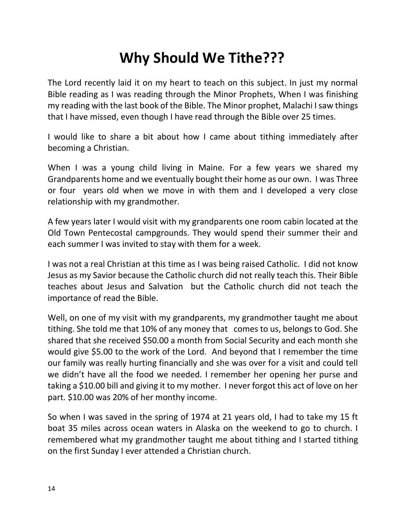# **Why Should We Tithe???**

The Lord recently laid it on my heart to teach on this subject. In just my normal Bible reading as I was reading through the Minor Prophets, When I was finishing my reading with the last book of the Bible. The Minor prophet, Malachi I saw things that I have missed, even though I have read through the Bible over 25 times.

I would like to share a bit about how I came about tithing immediately after becoming a Christian.

When I was a young child living in Maine. For a few years we shared my Grandparents home and we eventually bought their home as our own. I was Three or four years old when we move in with them and I developed a very close relationship with my grandmother.

A few years later I would visit with my grandparents one room cabin located at the Old Town Pentecostal campgrounds. They would spend their summer their and each summer I was invited to stay with them for a week.

I was not a real Christian at this time as I was being raised Catholic. I did not know Jesus as my Savior because the Catholic church did not really teach this. Their Bible teaches about Jesus and Salvation but the Catholic church did not teach the importance of read the Bible.

Well, on one of my visit with my grandparents, my grandmother taught me about tithing. She told me that 10% of any money that comes to us, belongs to God. She shared that she received \$50.00 a month from Social Security and each month she would give \$5.00 to the work of the Lord. And beyond that I remember the time our family was really hurting financially and she was over for a visit and could tell we didn't have all the food we needed. I remember her opening her purse and taking a \$10.00 bill and giving it to my mother. I never forgot this act of love on her part. \$10.00 was 20% of her monthy income.

So when I was saved in the spring of 1974 at 21 years old, I had to take my 15 ft boat 35 miles across ocean waters in Alaska on the weekend to go to church. I remembered what my grandmother taught me about tithing and I started tithing on the first Sunday I ever attended a Christian church.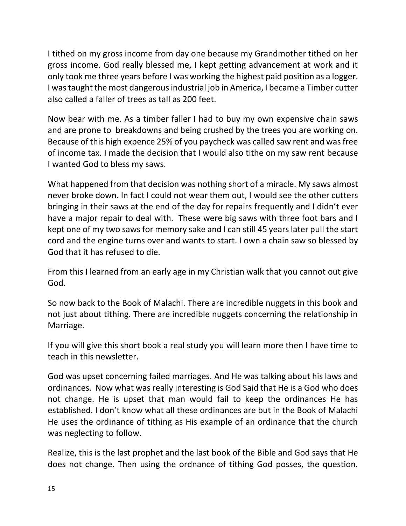I tithed on my gross income from day one because my Grandmother tithed on her gross income. God really blessed me, I kept getting advancement at work and it only took me three years before I was working the highest paid position as a logger. I was taught the most dangerous industrial job in America, I became a Timber cutter also called a faller of trees as tall as 200 feet.

Now bear with me. As a timber faller I had to buy my own expensive chain saws and are prone to breakdowns and being crushed by the trees you are working on. Because of this high expence 25% of you paycheck was called saw rent and was free of income tax. I made the decision that I would also tithe on my saw rent because I wanted God to bless my saws.

What happened from that decision was nothing short of a miracle. My saws almost never broke down. In fact I could not wear them out, I would see the other cutters bringing in their saws at the end of the day for repairs frequently and I didn't ever have a major repair to deal with. These were big saws with three foot bars and I kept one of my two saws for memory sake and I can still 45 years later pull the start cord and the engine turns over and wants to start. I own a chain saw so blessed by God that it has refused to die.

From this I learned from an early age in my Christian walk that you cannot out give God.

So now back to the Book of Malachi. There are incredible nuggets in this book and not just about tithing. There are incredible nuggets concerning the relationship in Marriage.

If you will give this short book a real study you will learn more then I have time to teach in this newsletter.

God was upset concerning failed marriages. And He was talking about his laws and ordinances. Now what was really interesting is God Said that He is a God who does not change. He is upset that man would fail to keep the ordinances He has established. I don't know what all these ordinances are but in the Book of Malachi He uses the ordinance of tithing as His example of an ordinance that the church was neglecting to follow.

Realize, this is the last prophet and the last book of the Bible and God says that He does not change. Then using the ordnance of tithing God posses, the question.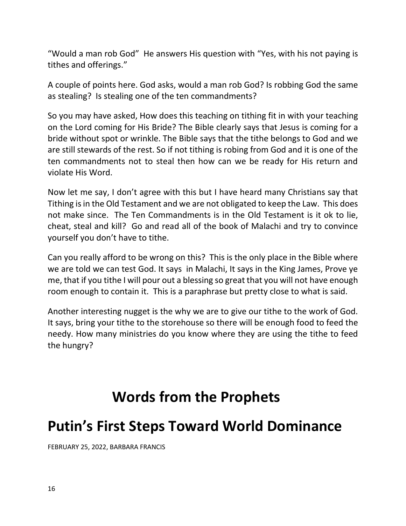"Would a man rob God" He answers His question with "Yes, with his not paying is tithes and offerings."

A couple of points here. God asks, would a man rob God? Is robbing God the same as stealing? Is stealing one of the ten commandments?

So you may have asked, How does this teaching on tithing fit in with your teaching on the Lord coming for His Bride? The Bible clearly says that Jesus is coming for a bride without spot or wrinkle. The Bible says that the tithe belongs to God and we are still stewards of the rest. So if not tithing is robing from God and it is one of the ten commandments not to steal then how can we be ready for His return and violate His Word.

Now let me say, I don't agree with this but I have heard many Christians say that Tithing is in the Old Testament and we are not obligated to keep the Law. This does not make since. The Ten Commandments is in the Old Testament is it ok to lie, cheat, steal and kill? Go and read all of the book of Malachi and try to convince yourself you don't have to tithe.

Can you really afford to be wrong on this? This is the only place in the Bible where we are told we can test God. It says in Malachi, It says in the King James, Prove ye me, that if you tithe I will pour out a blessing so great that you will not have enough room enough to contain it. This is a paraphrase but pretty close to what is said.

Another interesting nugget is the why we are to give our tithe to the work of God. It says, bring your tithe to the storehouse so there will be enough food to feed the needy. How many ministries do you know where they are using the tithe to feed the hungry?

# **Words from the Prophets**

# **Putin's First Steps Toward World Dominance**

FEBRUARY 25, 2022, BARBARA FRANCIS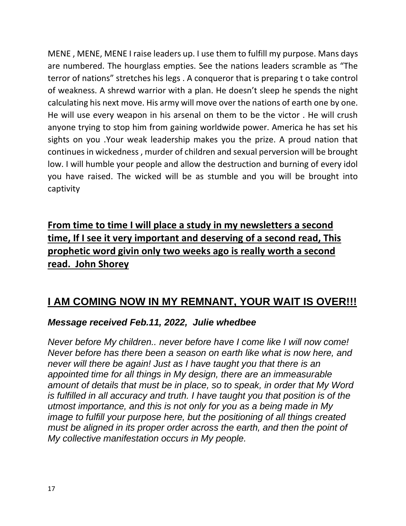MENE , MENE, MENE I raise leaders up. I use them to fulfill my purpose. Mans days are numbered. The hourglass empties. See the nations leaders scramble as "The terror of nations" stretches his legs . A conqueror that is preparing t o take control of weakness. A shrewd warrior with a plan. He doesn't sleep he spends the night calculating his next move. His army will move over the nations of earth one by one. He will use every weapon in his arsenal on them to be the victor . He will crush anyone trying to stop him from gaining worldwide power. America he has set his sights on you .Your weak leadership makes you the prize. A proud nation that continues in wickedness , murder of children and sexual perversion will be brought low. I will humble your people and allow the destruction and burning of every idol you have raised. The wicked will be as stumble and you will be brought into captivity

**From time to time I will place a study in my newsletters a second time, If I see it very important and deserving of a second read, This prophetic word givin only two weeks ago is really worth a second read. John Shorey**

## **[I AM COMING NOW IN MY REMNANT, YOUR WAIT IS OVER!!!](https://iamcallingyounow.blogspot.com/2022/02/i-am-coming-now-in-my-remnant-your-wait.html)**

#### *Message received Feb.11, 2022, Julie whedbee*

*Never before My children.. never before have I come like I will now come! Never before has there been a season on earth like what is now here, and never will there be again! Just as I have taught you that there is an appointed time for all things in My design, there are an immeasurable amount of details that must be in place, so to speak, in order that My Word is fulfilled in all accuracy and truth. I have taught you that position is of the utmost importance, and this is not only for you as a being made in My image to fulfill your purpose here, but the positioning of all things created must be aligned in its proper order across the earth, and then the point of My collective manifestation occurs in My people.*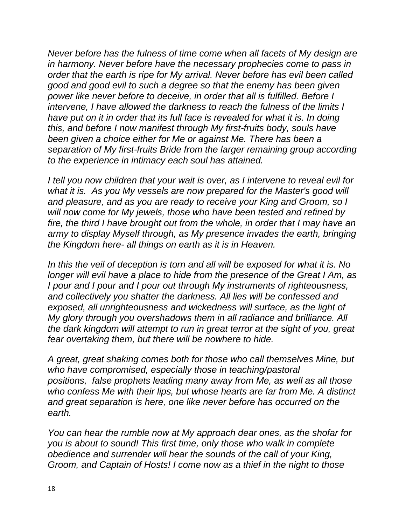*Never before has the fulness of time come when all facets of My design are in harmony. Never before have the necessary prophecies come to pass in order that the earth is ripe for My arrival. Never before has evil been called good and good evil to such a degree so that the enemy has been given power like never before to deceive, in order that all is fulfilled. Before I intervene, I have allowed the darkness to reach the fulness of the limits I have put on it in order that its full face is revealed for what it is. In doing this, and before I now manifest through My first-fruits body, souls have been given a choice either for Me or against Me. There has been a separation of My first-fruits Bride from the larger remaining group according to the experience in intimacy each soul has attained.*

*I tell you now children that your wait is over, as I intervene to reveal evil for what it is. As you My vessels are now prepared for the Master's good will and pleasure, and as you are ready to receive your King and Groom, so I will now come for My jewels, those who have been tested and refined by fire, the third I have brought out from the whole, in order that I may have an army to display Myself through, as My presence invades the earth, bringing the Kingdom here- all things on earth as it is in Heaven.*

*In this the veil of deception is torn and all will be exposed for what it is. No longer will evil have a place to hide from the presence of the Great I Am, as I pour and I pour and I pour out through My instruments of righteousness, and collectively you shatter the darkness. All lies will be confessed and exposed, all unrighteousness and wickedness will surface, as the light of My glory through you overshadows them in all radiance and brilliance. All the dark kingdom will attempt to run in great terror at the sight of you, great fear overtaking them, but there will be nowhere to hide.*

*A great, great shaking comes both for those who call themselves Mine, but who have compromised, especially those in teaching/pastoral positions, false prophets leading many away from Me, as well as all those who confess Me with their lips, but whose hearts are far from Me. A distinct and great separation is here, one like never before has occurred on the earth.*

*You can hear the rumble now at My approach dear ones, as the shofar for you is about to sound! This first time, only those who walk in complete obedience and surrender will hear the sounds of the call of your King, Groom, and Captain of Hosts! I come now as a thief in the night to those*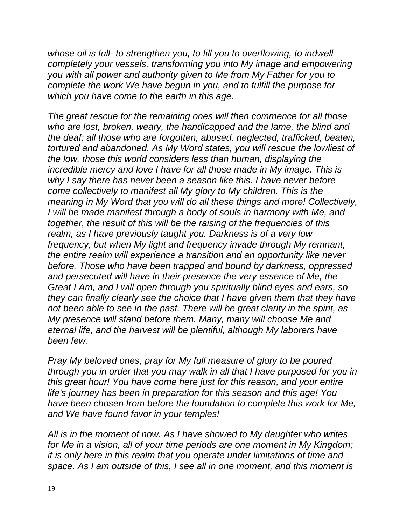*whose oil is full- to strengthen you, to fill you to overflowing, to indwell completely your vessels, transforming you into My image and empowering you with all power and authority given to Me from My Father for you to complete the work We have begun in you, and to fulfill the purpose for which you have come to the earth in this age.*

*The great rescue for the remaining ones will then commence for all those who are lost, broken, weary, the handicapped and the lame, the blind and the deaf; all those who are forgotten, abused, neglected, trafficked, beaten, tortured and abandoned. As My Word states, you will rescue the lowliest of the low, those this world considers less than human, displaying the incredible mercy and love I have for all those made in My image. This is why I say there has never been a season like this. I have never before come collectively to manifest all My glory to My children. This is the meaning in My Word that you will do all these things and more! Collectively, I* will be made manifest through a body of souls in harmony with Me, and *together, the result of this will be the raising of the frequencies of this realm, as I have previously taught you. Darkness is of a very low frequency, but when My light and frequency invade through My remnant, the entire realm will experience a transition and an opportunity like never before. Those who have been trapped and bound by darkness, oppressed and persecuted will have in their presence the very essence of Me, the Great I Am, and I will open through you spiritually blind eyes and ears, so they can finally clearly see the choice that I have given them that they have not been able to see in the past. There will be great clarity in the spirit, as My presence will stand before them. Many, many will choose Me and eternal life, and the harvest will be plentiful, although My laborers have been few.*

*Pray My beloved ones, pray for My full measure of glory to be poured through you in order that you may walk in all that I have purposed for you in this great hour! You have come here just for this reason, and your entire life's journey has been in preparation for this season and this age! You have been chosen from before the foundation to complete this work for Me, and We have found favor in your temples!*

*All is in the moment of now. As I have showed to My daughter who writes for Me in a vision, all of your time periods are one moment in My Kingdom; it is only here in this realm that you operate under limitations of time and space. As I am outside of this, I see all in one moment, and this moment is*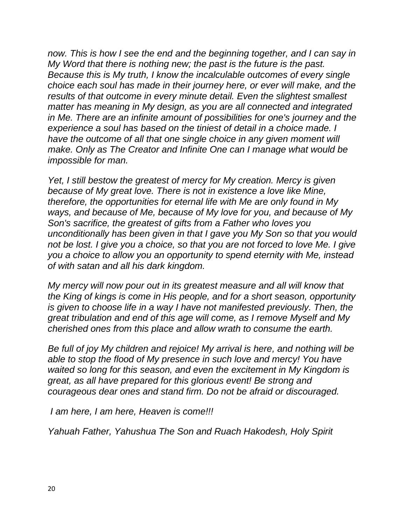*now. This is how I see the end and the beginning together, and I can say in My Word that there is nothing new; the past is the future is the past. Because this is My truth, I know the incalculable outcomes of every single choice each soul has made in their journey here, or ever will make, and the results of that outcome in every minute detail. Even the slightest smallest matter has meaning in My design, as you are all connected and integrated in Me. There are an infinite amount of possibilities for one's journey and the experience a soul has based on the tiniest of detail in a choice made. I have the outcome of all that one single choice in any given moment will make. Only as The Creator and Infinite One can I manage what would be impossible for man.*

*Yet, I still bestow the greatest of mercy for My creation. Mercy is given because of My great love. There is not in existence a love like Mine, therefore, the opportunities for eternal life with Me are only found in My ways, and because of Me, because of My love for you, and because of My Son's sacrifice, the greatest of gifts from a Father who loves you unconditionally has been given in that I gave you My Son so that you would not be lost. I give you a choice, so that you are not forced to love Me. I give you a choice to allow you an opportunity to spend eternity with Me, instead of with satan and all his dark kingdom.*

*My mercy will now pour out in its greatest measure and all will know that the King of kings is come in His people, and for a short season, opportunity is given to choose life in a way I have not manifested previously. Then, the great tribulation and end of this age will come, as I remove Myself and My cherished ones from this place and allow wrath to consume the earth.*

*Be full of joy My children and rejoice! My arrival is here, and nothing will be able to stop the flood of My presence in such love and mercy! You have waited so long for this season, and even the excitement in My Kingdom is great, as all have prepared for this glorious event! Be strong and courageous dear ones and stand firm. Do not be afraid or discouraged.*

*I am here, I am here, Heaven is come!!!*

*Yahuah Father, Yahushua The Son and Ruach Hakodesh, Holy Spirit*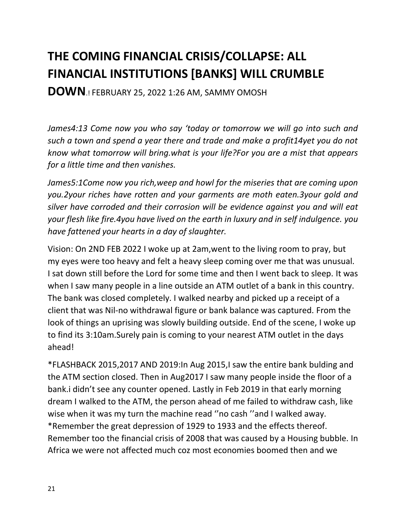# **THE COMING FINANCIAL CRISIS/COLLAPSE: ALL FINANCIAL INSTITUTIONS [BANKS] WILL CRUMBLE**

**DOWN**.! FEBRUARY 25, 2022 1:26 AM, SAMMY OMOSH

*James4:13 Come now you who say 'today or tomorrow we will go into such and such a town and spend a year there and trade and make a profit14yet you do not know what tomorrow will bring.what is your life?For you are a mist that appears for a little time and then vanishes.*

*James5:1Come now you rich,weep and howl for the miseries that are coming upon you.2your riches have rotten and your garments are moth eaten.3your gold and silver have corroded and their corrosion will be evidence against you and will eat your flesh like fire.4you have lived on the earth in luxury and in self indulgence. you have fattened your hearts in a day of slaughter.*

Vision: On 2ND FEB 2022 I woke up at 2am,went to the living room to pray, but my eyes were too heavy and felt a heavy sleep coming over me that was unusual. I sat down still before the Lord for some time and then I went back to sleep. It was when I saw many people in a line outside an ATM outlet of a bank in this country. The bank was closed completely. I walked nearby and picked up a receipt of a client that was Nil-no withdrawal figure or bank balance was captured. From the look of things an uprising was slowly building outside. End of the scene, I woke up to find its 3:10am.Surely pain is coming to your nearest ATM outlet in the days ahead!

\*FLASHBACK 2015,2017 AND 2019:In Aug 2015,I saw the entire bank bulding and the ATM section closed. Then in Aug2017 I saw many people inside the floor of a bank.i didn't see any counter opened. Lastly in Feb 2019 in that early morning dream I walked to the ATM, the person ahead of me failed to withdraw cash, like wise when it was my turn the machine read ''no cash ''and I walked away. \*Remember the great depression of 1929 to 1933 and the effects thereof. Remember too the financial crisis of 2008 that was caused by a Housing bubble. In Africa we were not affected much coz most economies boomed then and we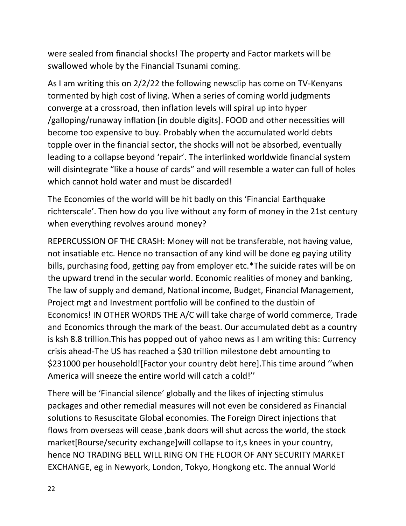were sealed from financial shocks! The property and Factor markets will be swallowed whole by the Financial Tsunami coming.

As I am writing this on 2/2/22 the following newsclip has come on TV-Kenyans tormented by high cost of living. When a series of coming world judgments converge at a crossroad, then inflation levels will spiral up into hyper /galloping/runaway inflation [in double digits]. FOOD and other necessities will become too expensive to buy. Probably when the accumulated world debts topple over in the financial sector, the shocks will not be absorbed, eventually leading to a collapse beyond 'repair'. The interlinked worldwide financial system will disintegrate "like a house of cards" and will resemble a water can full of holes which cannot hold water and must be discarded!

The Economies of the world will be hit badly on this 'Financial Earthquake richterscale'. Then how do you live without any form of money in the 21st century when everything revolves around money?

REPERCUSSION OF THE CRASH: Money will not be transferable, not having value, not insatiable etc. Hence no transaction of any kind will be done eg paying utility bills, purchasing food, getting pay from employer etc.\*The suicide rates will be on the upward trend in the secular world. Economic realities of money and banking, The law of supply and demand, National income, Budget, Financial Management, Project mgt and Investment portfolio will be confined to the dustbin of Economics! IN OTHER WORDS THE A/C will take charge of world commerce, Trade and Economics through the mark of the beast. Our accumulated debt as a country is ksh 8.8 trillion.This has popped out of yahoo news as I am writing this: Currency crisis ahead-The US has reached a \$30 trillion milestone debt amounting to \$231000 per household![Factor your country debt here].This time around ''when America will sneeze the entire world will catch a cold!''

There will be 'Financial silence' globally and the likes of injecting stimulus packages and other remedial measures will not even be considered as Financial solutions to Resuscitate Global economies. The Foreign Direct injections that flows from overseas will cease ,bank doors will shut across the world, the stock market[Bourse/security exchange]will collapse to it,s knees in your country, hence NO TRADING BELL WILL RING ON THE FLOOR OF ANY SECURITY MARKET EXCHANGE, eg in Newyork, London, Tokyo, Hongkong etc. The annual World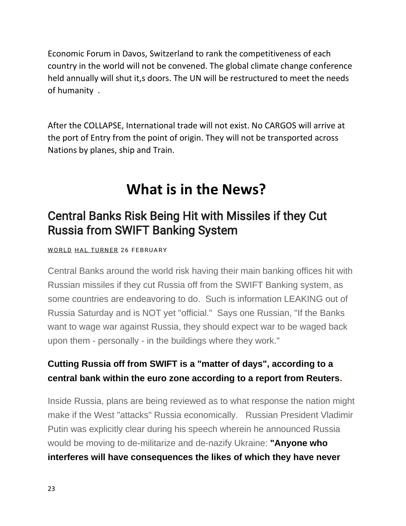Economic Forum in Davos, Switzerland to rank the competitiveness of each country in the world will not be convened. The global climate change conference held annually will shut it,s doors. The UN will be restructured to meet the needs of humanity .

After the COLLAPSE, International trade will not exist. No CARGOS will arrive at the port of Entry from the point of origin. They will not be transported across Nations by planes, ship and Train.

# **What is in the News?**

## Central Banks Risk Being Hit with Missiles if they Cut Russia from SWIFT Banking System

WORLD HAL TURNER 26 FEBRUARY

Central Banks around the world risk having their main banking offices hit with Russian missiles if they cut Russia off from the SWIFT Banking system, as some countries are endeavoring to do. Such is information LEAKING out of Russia Saturday and is NOT yet "official." Says one Russian, "If the Banks want to wage war against Russia, they should expect war to be waged back upon them - personally - in the buildings where they work."

## **Cutting Russia off from SWIFT is a "matter of days", according to a central bank within the euro zone according to a report from Reuters.**

Inside Russia, plans are being reviewed as to what response the nation might make if the West "attacks" Russia economically. Russian President Vladimir Putin was explicitly clear during his speech wherein he announced Russia would be moving to de-militarize and de-nazify Ukraine: **"Anyone who interferes will have consequences the likes of which they have never**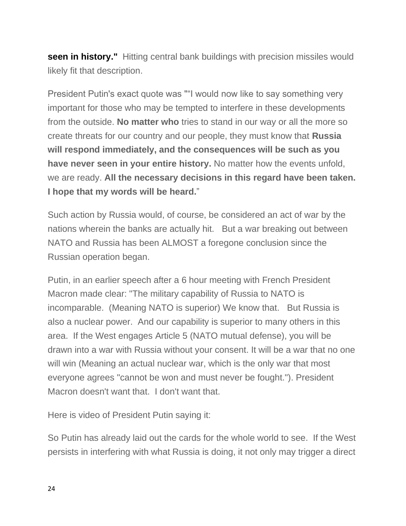**seen in history."** Hitting central bank buildings with precision missiles would likely fit that description.

President Putin's exact quote was ""I would now like to say something very important for those who may be tempted to interfere in these developments from the outside. **No matter who** tries to stand in our way or all the more so create threats for our country and our people, they must know that **Russia will respond immediately, and the consequences will be such as you have never seen in your entire history.** No matter how the events unfold, we are ready. **All the necessary decisions in this regard have been taken. I hope that my words will be heard.**"

Such action by Russia would, of course, be considered an act of war by the nations wherein the banks are actually hit. But a war breaking out between NATO and Russia has been ALMOST a foregone conclusion since the Russian operation began.

Putin, in an earlier speech after a 6 hour meeting with French President Macron made clear: "The military capability of Russia to NATO is incomparable. (Meaning NATO is superior) We know that. But Russia is also a nuclear power. And our capability is superior to many others in this area. If the West engages Article 5 (NATO mutual defense), you will be drawn into a war with Russia without your consent. It will be a war that no one will win (Meaning an actual nuclear war, which is the only war that most everyone agrees "cannot be won and must never be fought."). President Macron doesn't want that. I don't want that.

Here is video of President Putin saying it:

So Putin has already laid out the cards for the whole world to see. If the West persists in interfering with what Russia is doing, it not only may trigger a direct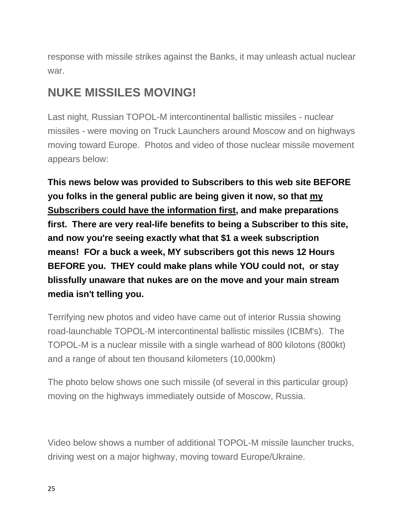response with missile strikes against the Banks, it may unleash actual nuclear war.

## **NUKE MISSILES MOVING!**

Last night, Russian TOPOL-M intercontinental ballistic missiles - nuclear missiles - were moving on Truck Launchers around Moscow and on highways moving toward Europe. Photos and video of those nuclear missile movement appears below:

**This news below was provided to Subscribers to this web site BEFORE you folks in the general public are being given it now, so that my Subscribers could have the information first, and make preparations first. There are very real-life benefits to being a Subscriber to this site, and now you're seeing exactly what that \$1 a week subscription means! FOr a buck a week, MY subscribers got this news 12 Hours BEFORE you. THEY could make plans while YOU could not, or stay blissfully unaware that nukes are on the move and your main stream media isn't telling you.**

Terrifying new photos and video have came out of interior Russia showing road-launchable TOPOL-M intercontinental ballistic missiles (ICBM's). The TOPOL-M is a nuclear missile with a single warhead of 800 kilotons (800kt) and a range of about ten thousand kilometers (10,000km)

The photo below shows one such missile (of several in this particular group) moving on the highways immediately outside of Moscow, Russia.

Video below shows a number of additional TOPOL-M missile launcher trucks, driving west on a major highway, moving toward Europe/Ukraine.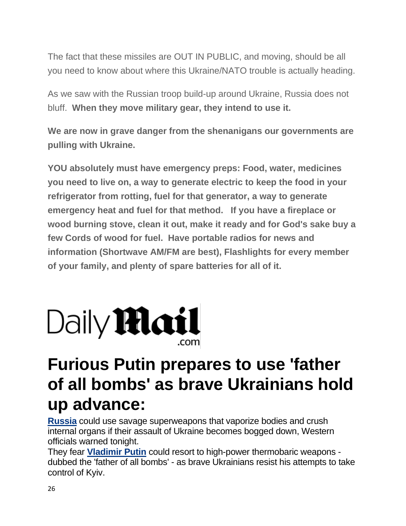The fact that these missiles are OUT IN PUBLIC, and moving, should be all you need to know about where this Ukraine/NATO trouble is actually heading.

As we saw with the Russian troop build-up around Ukraine, Russia does not bluff. **When they move military gear, they intend to use it.**

**We are now in grave danger from the shenanigans our governments are pulling with Ukraine.**

**YOU absolutely must have emergency preps: Food, water, medicines you need to live on, a way to generate electric to keep the food in your refrigerator from rotting, fuel for that generator, a way to generate emergency heat and fuel for that method. If you have a fireplace or wood burning stove, clean it out, make it ready and for God's sake buy a few Cords of wood for fuel. Have portable radios for news and information (Shortwave AM/FM are best), Flashlights for every member of your family, and plenty of spare batteries for all of it.**

# Daily **Hail**

# **Furious Putin prepares to use 'father of all bombs' as brave Ukrainians hold up advance:**

**[Russia](https://www.dailymail.co.uk/news/russia-ukraine-conflict/index.html)** could use savage superweapons that vaporize bodies and crush internal organs if their assault of Ukraine becomes bogged down, Western officials warned tonight.

They fear **[Vladimir Putin](https://www.dailymail.co.uk/news/vladimir_putin/index.html)** could resort to high-power thermobaric weapons dubbed the 'father of all bombs' - as brave Ukrainians resist his attempts to take control of Kyiv.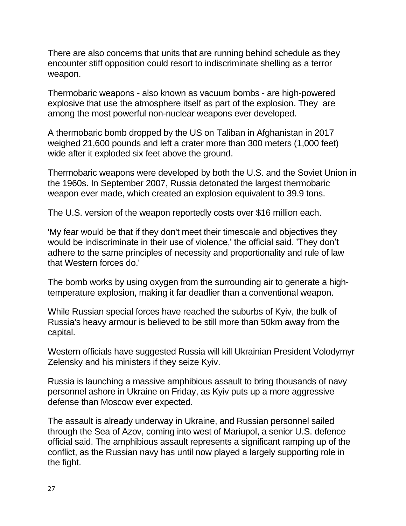There are also concerns that units that are running behind schedule as they encounter stiff opposition could resort to indiscriminate shelling as a terror weapon.

Thermobaric weapons - also known as vacuum bombs - are high-powered explosive that use the atmosphere itself as part of the explosion. They are among the most powerful non-nuclear weapons ever developed.

A thermobaric bomb dropped by the US on Taliban in Afghanistan in 2017 weighed 21,600 pounds and left a crater more than 300 meters (1,000 feet) wide after it exploded six feet above the ground.

Thermobaric weapons were developed by both the U.S. and the Soviet Union in the 1960s. In September 2007, Russia detonated the largest thermobaric weapon ever made, which created an explosion equivalent to 39.9 tons.

The U.S. version of the weapon reportedly costs over \$16 million each.

'My fear would be that if they don't meet their timescale and objectives they would be indiscriminate in their use of violence,' the official said. 'They don't adhere to the same principles of necessity and proportionality and rule of law that Western forces do.'

The bomb works by using oxygen from the surrounding air to generate a hightemperature explosion, making it far deadlier than a conventional weapon.

While Russian special forces have reached the suburbs of Kyiv, the bulk of Russia's heavy armour is believed to be still more than 50km away from the capital.

Western officials have suggested Russia will kill Ukrainian President Volodymyr Zelensky and his ministers if they seize Kyiv.

Russia is launching a massive amphibious assault to bring thousands of navy personnel ashore in Ukraine on Friday, as Kyiv puts up a more aggressive defense than Moscow ever expected.

The assault is already underway in Ukraine, and Russian personnel sailed through the Sea of Azov, coming into west of Mariupol, a senior U.S. defence official said. The amphibious assault represents a significant ramping up of the conflict, as the Russian navy has until now played a largely supporting role in the fight.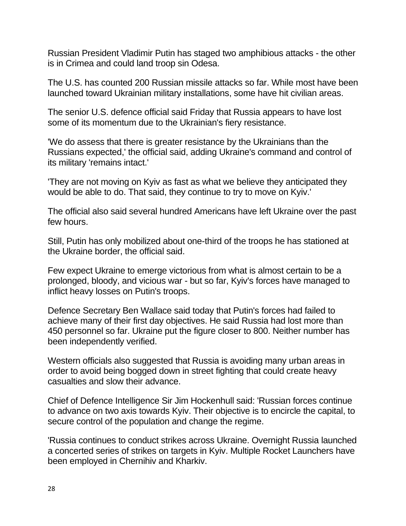Russian President Vladimir Putin has staged two amphibious attacks - the other is in Crimea and could land troop sin Odesa.

The U.S. has counted 200 Russian missile attacks so far. While most have been launched toward Ukrainian military installations, some have hit civilian areas.

The senior U.S. defence official said Friday that Russia appears to have lost some of its momentum due to the Ukrainian's fiery resistance.

'We do assess that there is greater resistance by the Ukrainians than the Russians expected,' the official said, adding Ukraine's command and control of its military 'remains intact.'

'They are not moving on Kyiv as fast as what we believe they anticipated they would be able to do. That said, they continue to try to move on Kyiv.'

The official also said several hundred Americans have left Ukraine over the past few hours.

Still, Putin has only mobilized about one-third of the troops he has stationed at the Ukraine border, the official said.

Few expect Ukraine to emerge victorious from what is almost certain to be a prolonged, bloody, and vicious war - but so far, Kyiv's forces have managed to inflict heavy losses on Putin's troops.

Defence Secretary Ben Wallace said today that Putin's forces had failed to achieve many of their first day objectives. He said Russia had lost more than 450 personnel so far. Ukraine put the figure closer to 800. Neither number has been independently verified.

Western officials also suggested that Russia is avoiding many urban areas in order to avoid being bogged down in street fighting that could create heavy casualties and slow their advance.

Chief of Defence Intelligence Sir Jim Hockenhull said: 'Russian forces continue to advance on two axis towards Kyiv. Their objective is to encircle the capital, to secure control of the population and change the regime.

'Russia continues to conduct strikes across Ukraine. Overnight Russia launched a concerted series of strikes on targets in Kyiv. Multiple Rocket Launchers have been employed in Chernihiv and Kharkiv.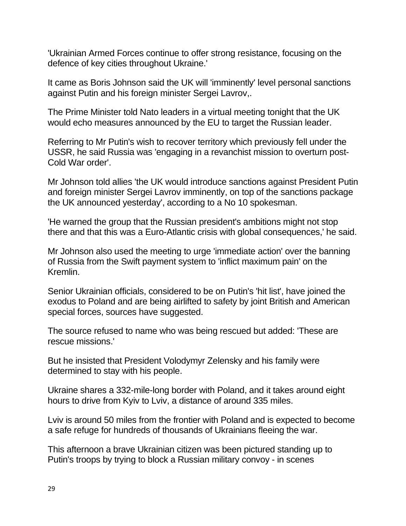'Ukrainian Armed Forces continue to offer strong resistance, focusing on the defence of key cities throughout Ukraine.'

It came as Boris Johnson said the UK will 'imminently' level personal sanctions against Putin and his foreign minister Sergei Lavrov,.

The Prime Minister told Nato leaders in a virtual meeting tonight that the UK would echo measures announced by the EU to target the Russian leader.

Referring to Mr Putin's wish to recover territory which previously fell under the USSR, he said Russia was 'engaging in a revanchist mission to overturn post-Cold War order'.

Mr Johnson told allies 'the UK would introduce sanctions against President Putin and foreign minister Sergei Lavrov imminently, on top of the sanctions package the UK announced yesterday', according to a No 10 spokesman.

'He warned the group that the Russian president's ambitions might not stop there and that this was a Euro-Atlantic crisis with global consequences,' he said.

Mr Johnson also used the meeting to urge 'immediate action' over the banning of Russia from the Swift payment system to 'inflict maximum pain' on the Kremlin.

Senior Ukrainian officials, considered to be on Putin's 'hit list', have joined the exodus to Poland and are being airlifted to safety by joint British and American special forces, sources have suggested.

The source refused to name who was being rescued but added: 'These are rescue missions.'

But he insisted that President Volodymyr Zelensky and his family were determined to stay with his people.

Ukraine shares a 332-mile-long border with Poland, and it takes around eight hours to drive from Kyiv to Lviv, a distance of around 335 miles.

Lviv is around 50 miles from the frontier with Poland and is expected to become a safe refuge for hundreds of thousands of Ukrainians fleeing the war.

This afternoon a brave Ukrainian citizen was been pictured standing up to Putin's troops by trying to block a Russian military convoy - in scenes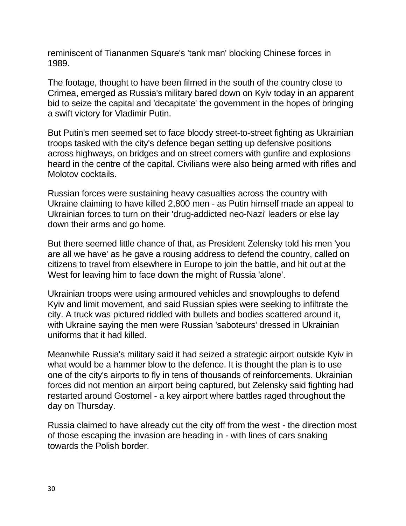reminiscent of Tiananmen Square's 'tank man' blocking Chinese forces in 1989.

The footage, thought to have been filmed in the south of the country close to Crimea, emerged as Russia's military bared down on Kyiv today in an apparent bid to seize the capital and 'decapitate' the government in the hopes of bringing a swift victory for Vladimir Putin.

But Putin's men seemed set to face bloody street-to-street fighting as Ukrainian troops tasked with the city's defence began setting up defensive positions across highways, on bridges and on street corners with gunfire and explosions heard in the centre of the capital. Civilians were also being armed with rifles and Molotov cocktails.

Russian forces were sustaining heavy casualties across the country with Ukraine claiming to have killed 2,800 men - as Putin himself made an appeal to Ukrainian forces to turn on their 'drug-addicted neo-Nazi' leaders or else lay down their arms and go home.

But there seemed little chance of that, as President Zelensky told his men 'you are all we have' as he gave a rousing address to defend the country, called on citizens to travel from elsewhere in Europe to join the battle, and hit out at the West for leaving him to face down the might of Russia 'alone'.

Ukrainian troops were using armoured vehicles and snowploughs to defend Kyiv and limit movement, and said Russian spies were seeking to infiltrate the city. A truck was pictured riddled with bullets and bodies scattered around it, with Ukraine saying the men were Russian 'saboteurs' dressed in Ukrainian uniforms that it had killed.

Meanwhile Russia's military said it had seized a strategic airport outside Kyiv in what would be a hammer blow to the defence. It is thought the plan is to use one of the city's airports to fly in tens of thousands of reinforcements. Ukrainian forces did not mention an airport being captured, but Zelensky said fighting had restarted around Gostomel - a key airport where battles raged throughout the day on Thursday.

Russia claimed to have already cut the city off from the west - the direction most of those escaping the invasion are heading in - with lines of cars snaking towards the Polish border.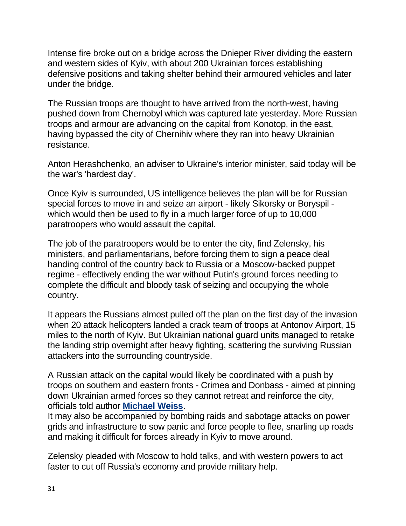Intense fire broke out on a bridge across the Dnieper River dividing the eastern and western sides of Kyiv, with about 200 Ukrainian forces establishing defensive positions and taking shelter behind their armoured vehicles and later under the bridge.

The Russian troops are thought to have arrived from the north-west, having pushed down from Chernobyl which was captured late yesterday. More Russian troops and armour are advancing on the capital from Konotop, in the east, having bypassed the city of Chernihiv where they ran into heavy Ukrainian resistance.

Anton Herashchenko, an adviser to Ukraine's interior minister, said today will be the war's 'hardest day'.

Once Kyiv is surrounded, US intelligence believes the plan will be for Russian special forces to move in and seize an airport - likely Sikorsky or Boryspil which would then be used to fly in a much larger force of up to 10,000 paratroopers who would assault the capital.

The job of the paratroopers would be to enter the city, find Zelensky, his ministers, and parliamentarians, before forcing them to sign a peace deal handing control of the country back to Russia or a Moscow-backed puppet regime - effectively ending the war without Putin's ground forces needing to complete the difficult and bloody task of seizing and occupying the whole country.

It appears the Russians almost pulled off the plan on the first day of the invasion when 20 attack helicopters landed a crack team of troops at Antonov Airport, 15 miles to the north of Kyiv. But Ukrainian national guard units managed to retake the landing strip overnight after heavy fighting, scattering the surviving Russian attackers into the surrounding countryside.

A Russian attack on the capital would likely be coordinated with a push by troops on southern and eastern fronts - Crimea and Donbass - aimed at pinning down Ukrainian armed forces so they cannot retreat and reinforce the city, officials told author **[Michael Weiss](https://twitter.com/michaeldweiss/status/1497095864992604163)**.

It may also be accompanied by bombing raids and sabotage attacks on power grids and infrastructure to sow panic and force people to flee, snarling up roads and making it difficult for forces already in Kyiv to move around.

Zelensky pleaded with Moscow to hold talks, and with western powers to act faster to cut off Russia's economy and provide military help.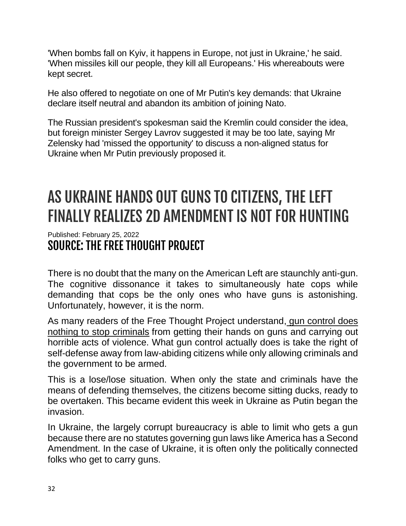'When bombs fall on Kyiv, it happens in Europe, not just in Ukraine,' he said. 'When missiles kill our people, they kill all Europeans.' His whereabouts were kept secret.

He also offered to negotiate on one of Mr Putin's key demands: that Ukraine declare itself neutral and abandon its ambition of joining Nato.

The Russian president's spokesman said the Kremlin could consider the idea, but foreign minister Sergey Lavrov suggested it may be too late, saying Mr Zelensky had 'missed the opportunity' to discuss a non-aligned status for Ukraine when Mr Putin previously proposed it.

# AS UKRAINE HANDS OUT GUNS TO CITIZENS, THE LEFT FINALLY REALIZES 2D AMENDMENT IS NOT FOR HUNTING

#### Published: February 25, 2022 SOURCE: [THE FREE THOUGHT PROJECT](https://thefreethoughtproject.com/as-ukraine-hands-out-guns-to-citizens-the-left-finally-realizes-2d-amendment-is-not-for-hunting/)

There is no doubt that the many on the American Left are staunchly anti-gun. The cognitive dissonance it takes to simultaneously hate cops while demanding that cops be the only ones who have guns is astonishing. Unfortunately, however, it is the norm.

As many readers of the Free Thought Project understand, [gun control does](https://thefreethoughtproject.com/law-abiding-gun-owners-targets-biden-executive-orders/)  [nothing to stop criminals](https://thefreethoughtproject.com/law-abiding-gun-owners-targets-biden-executive-orders/) from getting their hands on guns and carrying out horrible acts of violence. What gun control actually does is take the right of self-defense away from law-abiding citizens while only allowing criminals and the government to be armed.

This is a lose/lose situation. When only the state and criminals have the means of defending themselves, the citizens become sitting ducks, ready to be overtaken. This became evident this week in Ukraine as Putin began the invasion.

In Ukraine, the largely corrupt bureaucracy is able to limit who gets a gun because there are no statutes governing gun laws like America has a Second Amendment. In the case of Ukraine, it is often only the politically connected folks who get to carry guns.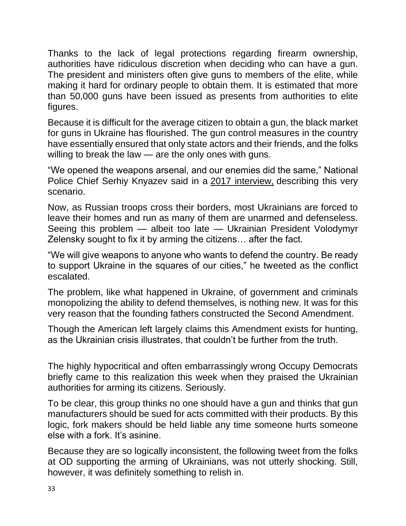Thanks to the lack of legal protections regarding firearm ownership, authorities have ridiculous discretion when deciding who can have a gun. The president and ministers often give guns to members of the elite, while making it hard for ordinary people to obtain them. It is estimated that more than 50,000 guns have been issued as presents from authorities to elite figures.

Because it is difficult for the average citizen to obtain a gun, the black market for guns in Ukraine has flourished. The gun control measures in the country have essentially ensured that only state actors and their friends, and the folks willing to break the law — are the only ones with guns.

"We opened the weapons arsenal, and our enemies did the same," National Police Chief Serhiy Knyazev said in a [2017 interview,](https://www.kyivpost.com/ukraine-politics/activists-seek-legalization-gun-ownership-nation.html) describing this very scenario.

Now, as Russian troops cross their borders, most Ukrainians are forced to leave their homes and run as many of them are unarmed and defenseless. Seeing this problem — albeit too late — Ukrainian President Volodymyr Zelensky sought to fix it by arming the citizens… after the fact.

"We will give weapons to anyone who wants to defend the country. Be ready to support Ukraine in the squares of our cities," he tweeted as the conflict escalated.

The problem, like what happened in Ukraine, of government and criminals monopolizing the ability to defend themselves, is nothing new. It was for this very reason that the founding fathers constructed the Second Amendment.

Though the American left largely claims this Amendment exists for hunting, as the Ukrainian crisis illustrates, that couldn't be further from the truth.

The highly hypocritical and often embarrassingly wrong Occupy Democrats briefly came to this realization this week when they praised the Ukrainian authorities for arming its citizens. Seriously.

To be clear, this group thinks no one should have a gun and thinks that gun manufacturers should be sued for acts committed with their products. By this logic, fork makers should be held liable any time someone hurts someone else with a fork. It's asinine.

Because they are so logically inconsistent, the following tweet from the folks at OD supporting the arming of Ukrainians, was not utterly shocking. Still, however, it was definitely something to relish in.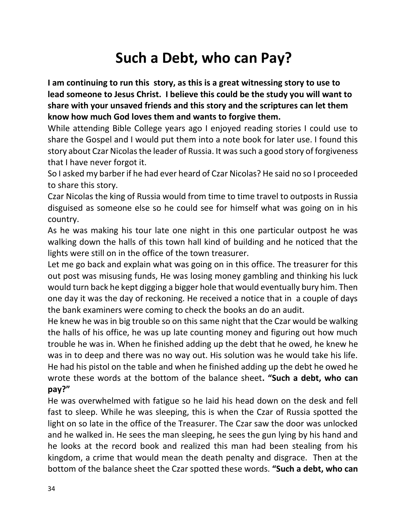# **Such a Debt, who can Pay?**

**I am continuing to run this story, as this is a great witnessing story to use to lead someone to Jesus Christ. I believe this could be the study you will want to share with your unsaved friends and this story and the scriptures can let them know how much God loves them and wants to forgive them.**

While attending Bible College years ago I enjoyed reading stories I could use to share the Gospel and I would put them into a note book for later use. I found this story about Czar Nicolas the leader of Russia. It was such a good story of forgiveness that I have never forgot it.

So I asked my barber if he had ever heard of Czar Nicolas? He said no so I proceeded to share this story.

Czar Nicolas the king of Russia would from time to time travel to outposts in Russia disguised as someone else so he could see for himself what was going on in his country.

As he was making his tour late one night in this one particular outpost he was walking down the halls of this town hall kind of building and he noticed that the lights were still on in the office of the town treasurer.

Let me go back and explain what was going on in this office. The treasurer for this out post was misusing funds, He was losing money gambling and thinking his luck would turn back he kept digging a bigger hole that would eventually bury him. Then one day it was the day of reckoning. He received a notice that in a couple of days the bank examiners were coming to check the books an do an audit.

He knew he was in big trouble so on this same night that the Czar would be walking the halls of his office, he was up late counting money and figuring out how much trouble he was in. When he finished adding up the debt that he owed, he knew he was in to deep and there was no way out. His solution was he would take his life. He had his pistol on the table and when he finished adding up the debt he owed he wrote these words at the bottom of the balance sheet**. "Such a debt, who can pay?"** 

He was overwhelmed with fatigue so he laid his head down on the desk and fell fast to sleep. While he was sleeping, this is when the Czar of Russia spotted the light on so late in the office of the Treasurer. The Czar saw the door was unlocked and he walked in. He sees the man sleeping, he sees the gun lying by his hand and he looks at the record book and realized this man had been stealing from his kingdom, a crime that would mean the death penalty and disgrace. Then at the bottom of the balance sheet the Czar spotted these words. **"Such a debt, who can**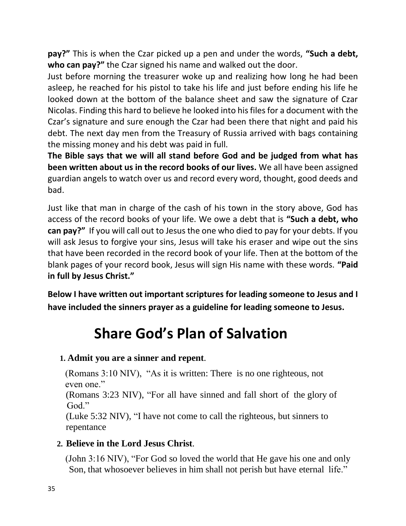**pay?"** This is when the Czar picked up a pen and under the words, **"Such a debt, who can pay?"** the Czar signed his name and walked out the door.

Just before morning the treasurer woke up and realizing how long he had been asleep, he reached for his pistol to take his life and just before ending his life he looked down at the bottom of the balance sheet and saw the signature of Czar Nicolas. Finding this hard to believe he looked into his files for a document with the Czar's signature and sure enough the Czar had been there that night and paid his debt. The next day men from the Treasury of Russia arrived with bags containing the missing money and his debt was paid in full.

**The Bible says that we will all stand before God and be judged from what has been written about us in the record books of our lives.** We all have been assigned guardian angels to watch over us and record every word, thought, good deeds and bad.

Just like that man in charge of the cash of his town in the story above, God has access of the record books of your life. We owe a debt that is **"Such a debt, who can pay?"** If you will call out to Jesus the one who died to pay for your debts. If you will ask Jesus to forgive your sins, Jesus will take his eraser and wipe out the sins that have been recorded in the record book of your life. Then at the bottom of the blank pages of your record book, Jesus will sign His name with these words. **"Paid in full by Jesus Christ."**

**Below I have written out important scriptures for leading someone to Jesus and I have included the sinners prayer as a guideline for leading someone to Jesus.**

# **Share God's Plan of Salvation**

#### **1. Admit you are a sinner and repent**.

(Romans 3:10 NIV), "As it is written: There is no one righteous, not even one."

(Romans 3:23 NIV), "For all have sinned and fall short of the glory of God."

(Luke 5:32 NIV), "I have not come to call the righteous, but sinners to repentance

#### **2. Believe in the Lord Jesus Christ**.

(John 3:16 NIV), "For God so loved the world that He gave his one and only Son, that whosoever believes in him shall not perish but have eternal life."